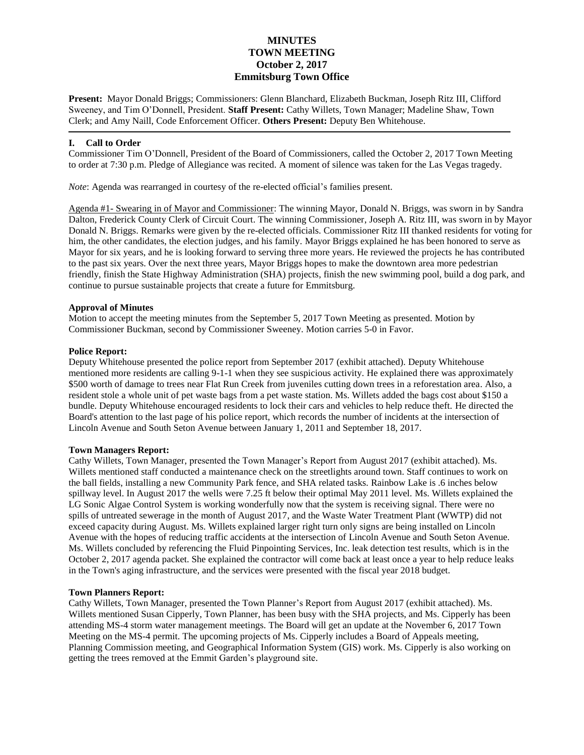# **MINUTES TOWN MEETING October 2, 2017 Emmitsburg Town Office**

**Present:** Mayor Donald Briggs; Commissioners: Glenn Blanchard, Elizabeth Buckman, Joseph Ritz III, Clifford Sweeney, and Tim O'Donnell, President. **Staff Present:** Cathy Willets, Town Manager; Madeline Shaw, Town Clerk; and Amy Naill, Code Enforcement Officer. **Others Present:** Deputy Ben Whitehouse.

# **I. Call to Order**

Commissioner Tim O'Donnell, President of the Board of Commissioners, called the October 2, 2017 Town Meeting to order at 7:30 p.m. Pledge of Allegiance was recited. A moment of silence was taken for the Las Vegas tragedy.

*Note*: Agenda was rearranged in courtesy of the re-elected official's families present.

Agenda #1- Swearing in of Mayor and Commissioner: The winning Mayor, Donald N. Briggs, was sworn in by Sandra Dalton, Frederick County Clerk of Circuit Court. The winning Commissioner, Joseph A. Ritz III, was sworn in by Mayor Donald N. Briggs. Remarks were given by the re-elected officials. Commissioner Ritz III thanked residents for voting for him, the other candidates, the election judges, and his family. Mayor Briggs explained he has been honored to serve as Mayor for six years, and he is looking forward to serving three more years. He reviewed the projects he has contributed to the past six years. Over the next three years, Mayor Briggs hopes to make the downtown area more pedestrian friendly, finish the State Highway Administration (SHA) projects, finish the new swimming pool, build a dog park, and continue to pursue sustainable projects that create a future for Emmitsburg.

# **Approval of Minutes**

Motion to accept the meeting minutes from the September 5, 2017 Town Meeting as presented. Motion by Commissioner Buckman, second by Commissioner Sweeney. Motion carries 5-0 in Favor.

# **Police Report:**

Deputy Whitehouse presented the police report from September 2017 (exhibit attached). Deputy Whitehouse mentioned more residents are calling 9-1-1 when they see suspicious activity. He explained there was approximately \$500 worth of damage to trees near Flat Run Creek from juveniles cutting down trees in a reforestation area. Also, a resident stole a whole unit of pet waste bags from a pet waste station. Ms. Willets added the bags cost about \$150 a bundle. Deputy Whitehouse encouraged residents to lock their cars and vehicles to help reduce theft. He directed the Board's attention to the last page of his police report, which records the number of incidents at the intersection of Lincoln Avenue and South Seton Avenue between January 1, 2011 and September 18, 2017.

# **Town Managers Report:**

Cathy Willets, Town Manager, presented the Town Manager's Report from August 2017 (exhibit attached). Ms. Willets mentioned staff conducted a maintenance check on the streetlights around town. Staff continues to work on the ball fields, installing a new Community Park fence, and SHA related tasks. Rainbow Lake is .6 inches below spillway level. In August 2017 the wells were 7.25 ft below their optimal May 2011 level. Ms. Willets explained the LG Sonic Algae Control System is working wonderfully now that the system is receiving signal. There were no spills of untreated sewerage in the month of August 2017, and the Waste Water Treatment Plant (WWTP) did not exceed capacity during August. Ms. Willets explained larger right turn only signs are being installed on Lincoln Avenue with the hopes of reducing traffic accidents at the intersection of Lincoln Avenue and South Seton Avenue. Ms. Willets concluded by referencing the Fluid Pinpointing Services, Inc. leak detection test results, which is in the October 2, 2017 agenda packet. She explained the contractor will come back at least once a year to help reduce leaks in the Town's aging infrastructure, and the services were presented with the fiscal year 2018 budget.

# **Town Planners Report:**

Cathy Willets, Town Manager, presented the Town Planner's Report from August 2017 (exhibit attached). Ms. Willets mentioned Susan Cipperly, Town Planner, has been busy with the SHA projects, and Ms. Cipperly has been attending MS-4 storm water management meetings. The Board will get an update at the November 6, 2017 Town Meeting on the MS-4 permit. The upcoming projects of Ms. Cipperly includes a Board of Appeals meeting, Planning Commission meeting, and Geographical Information System (GIS) work. Ms. Cipperly is also working on getting the trees removed at the Emmit Garden's playground site.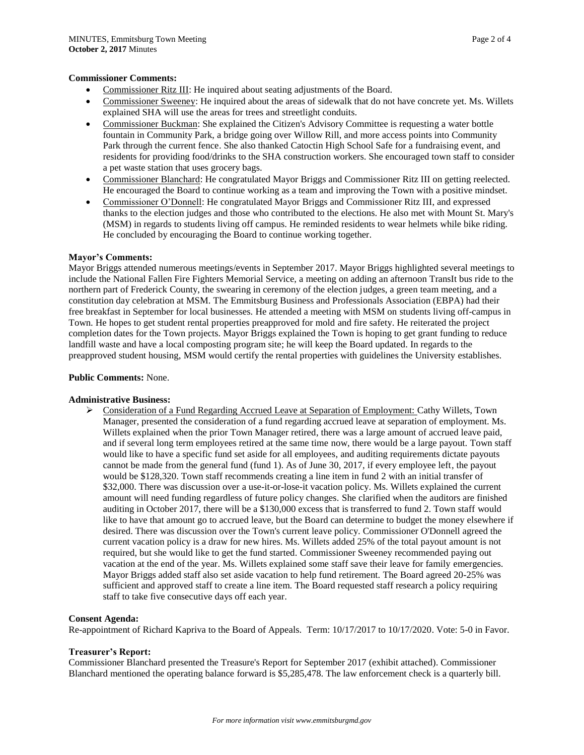### **Commissioner Comments:**

- Commissioner Ritz III: He inquired about seating adjustments of the Board.
- Commissioner Sweeney: He inquired about the areas of sidewalk that do not have concrete yet. Ms. Willets explained SHA will use the areas for trees and streetlight conduits.
- Commissioner Buckman: She explained the Citizen's Advisory Committee is requesting a water bottle fountain in Community Park, a bridge going over Willow Rill, and more access points into Community Park through the current fence. She also thanked Catoctin High School Safe for a fundraising event, and residents for providing food/drinks to the SHA construction workers. She encouraged town staff to consider a pet waste station that uses grocery bags.
- Commissioner Blanchard: He congratulated Mayor Briggs and Commissioner Ritz III on getting reelected. He encouraged the Board to continue working as a team and improving the Town with a positive mindset.
- Commissioner O'Donnell: He congratulated Mayor Briggs and Commissioner Ritz III, and expressed thanks to the election judges and those who contributed to the elections. He also met with Mount St. Mary's (MSM) in regards to students living off campus. He reminded residents to wear helmets while bike riding. He concluded by encouraging the Board to continue working together.

### **Mayor's Comments:**

Mayor Briggs attended numerous meetings/events in September 2017. Mayor Briggs highlighted several meetings to include the National Fallen Fire Fighters Memorial Service, a meeting on adding an afternoon TransIt bus ride to the northern part of Frederick County, the swearing in ceremony of the election judges, a green team meeting, and a constitution day celebration at MSM. The Emmitsburg Business and Professionals Association (EBPA) had their free breakfast in September for local businesses. He attended a meeting with MSM on students living off-campus in Town. He hopes to get student rental properties preapproved for mold and fire safety. He reiterated the project completion dates for the Town projects. Mayor Briggs explained the Town is hoping to get grant funding to reduce landfill waste and have a local composting program site; he will keep the Board updated. In regards to the preapproved student housing, MSM would certify the rental properties with guidelines the University establishes.

#### **Public Comments:** None.

#### **Administrative Business:**

 Consideration of a Fund Regarding Accrued Leave at Separation of Employment: Cathy Willets, Town Manager, presented the consideration of a fund regarding accrued leave at separation of employment. Ms. Willets explained when the prior Town Manager retired, there was a large amount of accrued leave paid, and if several long term employees retired at the same time now, there would be a large payout. Town staff would like to have a specific fund set aside for all employees, and auditing requirements dictate payouts cannot be made from the general fund (fund 1). As of June 30, 2017, if every employee left, the payout would be \$128,320. Town staff recommends creating a line item in fund 2 with an initial transfer of \$32,000. There was discussion over a use-it-or-lose-it vacation policy. Ms. Willets explained the current amount will need funding regardless of future policy changes. She clarified when the auditors are finished auditing in October 2017, there will be a \$130,000 excess that is transferred to fund 2. Town staff would like to have that amount go to accrued leave, but the Board can determine to budget the money elsewhere if desired. There was discussion over the Town's current leave policy. Commissioner O'Donnell agreed the current vacation policy is a draw for new hires. Ms. Willets added 25% of the total payout amount is not required, but she would like to get the fund started. Commissioner Sweeney recommended paying out vacation at the end of the year. Ms. Willets explained some staff save their leave for family emergencies. Mayor Briggs added staff also set aside vacation to help fund retirement. The Board agreed 20-25% was sufficient and approved staff to create a line item. The Board requested staff research a policy requiring staff to take five consecutive days off each year.

#### **Consent Agenda:**

Re-appointment of Richard Kapriva to the Board of Appeals. Term: 10/17/2017 to 10/17/2020. Vote: 5-0 in Favor.

#### **Treasurer's Report:**

Commissioner Blanchard presented the Treasure's Report for September 2017 (exhibit attached). Commissioner Blanchard mentioned the operating balance forward is \$5,285,478. The law enforcement check is a quarterly bill.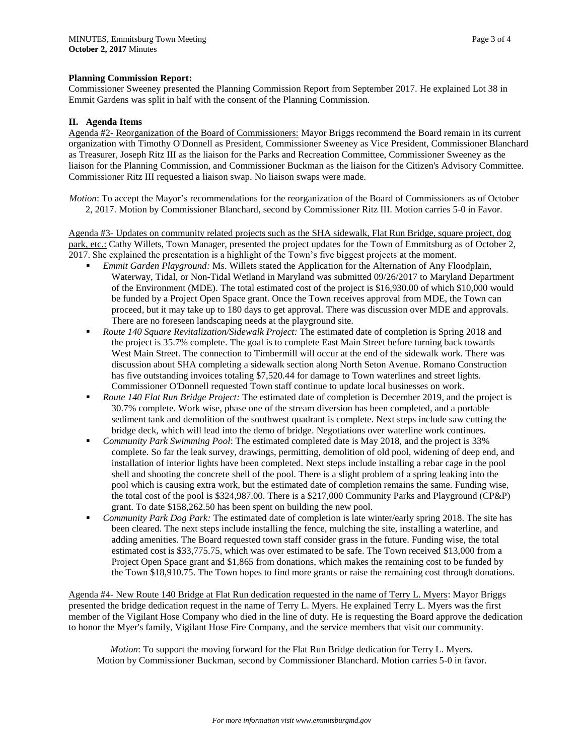### **Planning Commission Report:**

Commissioner Sweeney presented the Planning Commission Report from September 2017. He explained Lot 38 in Emmit Gardens was split in half with the consent of the Planning Commission.

### **II. Agenda Items**

Agenda #2- Reorganization of the Board of Commissioners: Mayor Briggs recommend the Board remain in its current organization with Timothy O'Donnell as President, Commissioner Sweeney as Vice President, Commissioner Blanchard as Treasurer, Joseph Ritz III as the liaison for the Parks and Recreation Committee, Commissioner Sweeney as the liaison for the Planning Commission, and Commissioner Buckman as the liaison for the Citizen's Advisory Committee. Commissioner Ritz III requested a liaison swap. No liaison swaps were made.

*Motion*: To accept the Mayor's recommendations for the reorganization of the Board of Commissioners as of October 2, 2017. Motion by Commissioner Blanchard, second by Commissioner Ritz III. Motion carries 5-0 in Favor.

Agenda #3- Updates on community related projects such as the SHA sidewalk, Flat Run Bridge, square project, dog park, etc.: Cathy Willets, Town Manager, presented the project updates for the Town of Emmitsburg as of October 2, 2017. She explained the presentation is a highlight of the Town's five biggest projects at the moment.

- *Emmit Garden Playground:* Ms. Willets stated the Application for the Alternation of Any Floodplain, Waterway, Tidal, or Non-Tidal Wetland in Maryland was submitted 09/26/2017 to Maryland Department of the Environment (MDE). The total estimated cost of the project is \$16,930.00 of which \$10,000 would be funded by a Project Open Space grant. Once the Town receives approval from MDE, the Town can proceed, but it may take up to 180 days to get approval. There was discussion over MDE and approvals. There are no foreseen landscaping needs at the playground site.
- *Route 140 Square Revitalization/Sidewalk Project:* The estimated date of completion is Spring 2018 and the project is 35.7% complete. The goal is to complete East Main Street before turning back towards West Main Street. The connection to Timbermill will occur at the end of the sidewalk work. There was discussion about SHA completing a sidewalk section along North Seton Avenue. Romano Construction has five outstanding invoices totaling \$7,520.44 for damage to Town waterlines and street lights. Commissioner O'Donnell requested Town staff continue to update local businesses on work.
- *Route 140 Flat Run Bridge Project:* The estimated date of completion is December 2019, and the project is 30.7% complete. Work wise, phase one of the stream diversion has been completed, and a portable sediment tank and demolition of the southwest quadrant is complete. Next steps include saw cutting the bridge deck, which will lead into the demo of bridge. Negotiations over waterline work continues.
- *Community Park Swimming Pool*: The estimated completed date is May 2018, and the project is 33% complete. So far the leak survey, drawings, permitting, demolition of old pool, widening of deep end, and installation of interior lights have been completed. Next steps include installing a rebar cage in the pool shell and shooting the concrete shell of the pool. There is a slight problem of a spring leaking into the pool which is causing extra work, but the estimated date of completion remains the same. Funding wise, the total cost of the pool is \$324,987.00. There is a \$217,000 Community Parks and Playground (CP&P) grant. To date \$158,262.50 has been spent on building the new pool.
- *Community Park Dog Park:* The estimated date of completion is late winter/early spring 2018. The site has been cleared. The next steps include installing the fence, mulching the site, installing a waterline, and adding amenities. The Board requested town staff consider grass in the future. Funding wise, the total estimated cost is \$33,775.75, which was over estimated to be safe. The Town received \$13,000 from a Project Open Space grant and \$1,865 from donations, which makes the remaining cost to be funded by the Town \$18,910.75. The Town hopes to find more grants or raise the remaining cost through donations.

Agenda #4- New Route 140 Bridge at Flat Run dedication requested in the name of Terry L. Myers: Mayor Briggs presented the bridge dedication request in the name of Terry L. Myers. He explained Terry L. Myers was the first member of the Vigilant Hose Company who died in the line of duty. He is requesting the Board approve the dedication to honor the Myer's family, Vigilant Hose Fire Company, and the service members that visit our community.

*Motion*: To support the moving forward for the Flat Run Bridge dedication for Terry L. Myers. Motion by Commissioner Buckman, second by Commissioner Blanchard. Motion carries 5-0 in favor.